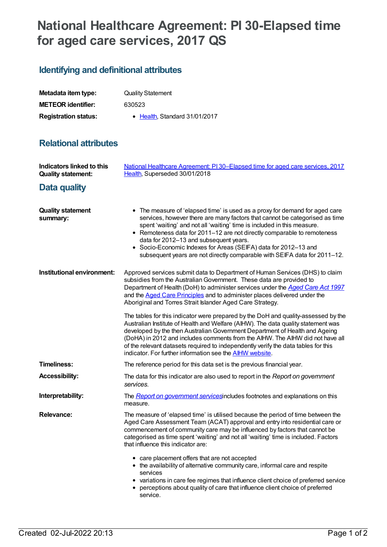## **National Healthcare Agreement: PI 30-Elapsed time for aged care services, 2017 QS**

## **Identifying and definitional attributes**

| Metadata item type:         | <b>Quality Statement</b>      |
|-----------------------------|-------------------------------|
| <b>METEOR identifier:</b>   | 630523                        |
| <b>Registration status:</b> | • Health, Standard 31/01/2017 |

## **Relational attributes**

| Indicators linked to this<br><b>Quality statement:</b> | National Healthcare Agreement: PI30-Elapsed time for aged care services, 2017<br>Health, Superseded 30/01/2018                                                                                                                                                                                                                                                                                                                                                                                             |
|--------------------------------------------------------|------------------------------------------------------------------------------------------------------------------------------------------------------------------------------------------------------------------------------------------------------------------------------------------------------------------------------------------------------------------------------------------------------------------------------------------------------------------------------------------------------------|
| Data quality                                           |                                                                                                                                                                                                                                                                                                                                                                                                                                                                                                            |
| <b>Quality statement</b><br>summary:                   | • The measure of 'elapsed time' is used as a proxy for demand for aged care<br>services, however there are many factors that cannot be categorised as time<br>spent 'waiting' and not all 'waiting' time is included in this measure.<br>• Remoteness data for 2011-12 are not directly comparable to remoteness<br>data for 2012-13 and subsequent years.<br>• Socio-Economic Indexes for Areas (SEIFA) data for 2012-13 and<br>subsequent years are not directly comparable with SEIFA data for 2011-12. |
| Institutional environment:                             | Approved services submit data to Department of Human Services (DHS) to claim<br>subsidies from the Australian Government. These data are provided to<br>Department of Health (DoH) to administer services under the Aged Care Act 1997<br>and the Aged Care Principles and to administer places delivered under the<br>Aboriginal and Torres Strait Islander Aged Care Strategy.                                                                                                                           |
|                                                        | The tables for this indicator were prepared by the DoH and quality-assessed by the<br>Australian Institute of Health and Welfare (AIHW). The data quality statement was<br>developed by the then Australian Government Department of Health and Ageing<br>(DoHA) in 2012 and includes comments from the AIHW. The AIHW did not have all<br>of the relevant datasets required to independently verify the data tables for this<br>indicator. For further information see the <b>AIHW</b> website.           |
| <b>Timeliness:</b>                                     | The reference period for this data set is the previous financial year.                                                                                                                                                                                                                                                                                                                                                                                                                                     |
| <b>Accessibility:</b>                                  | The data for this indicator are also used to report in the Report on government<br>services.                                                                                                                                                                                                                                                                                                                                                                                                               |
| Interpretability:                                      | The Report on government services includes footnotes and explanations on this<br>measure.                                                                                                                                                                                                                                                                                                                                                                                                                  |
| <b>Relevance:</b>                                      | The measure of 'elapsed time' is utilised because the period of time between the<br>Aged Care Assessment Team (ACAT) approval and entry into residential care or<br>commencement of community care may be influenced by factors that cannot be<br>categorised as time spent 'waiting' and not all 'waiting' time is included. Factors<br>that influence this indicator are:                                                                                                                                |
|                                                        | • care placement offers that are not accepted<br>• the availability of alternative community care, informal care and respite<br>services<br>• variations in care fee regimes that influence client choice of preferred service<br>perceptions about quality of care that influence client choice of preferred<br>service.                                                                                                                                                                                  |